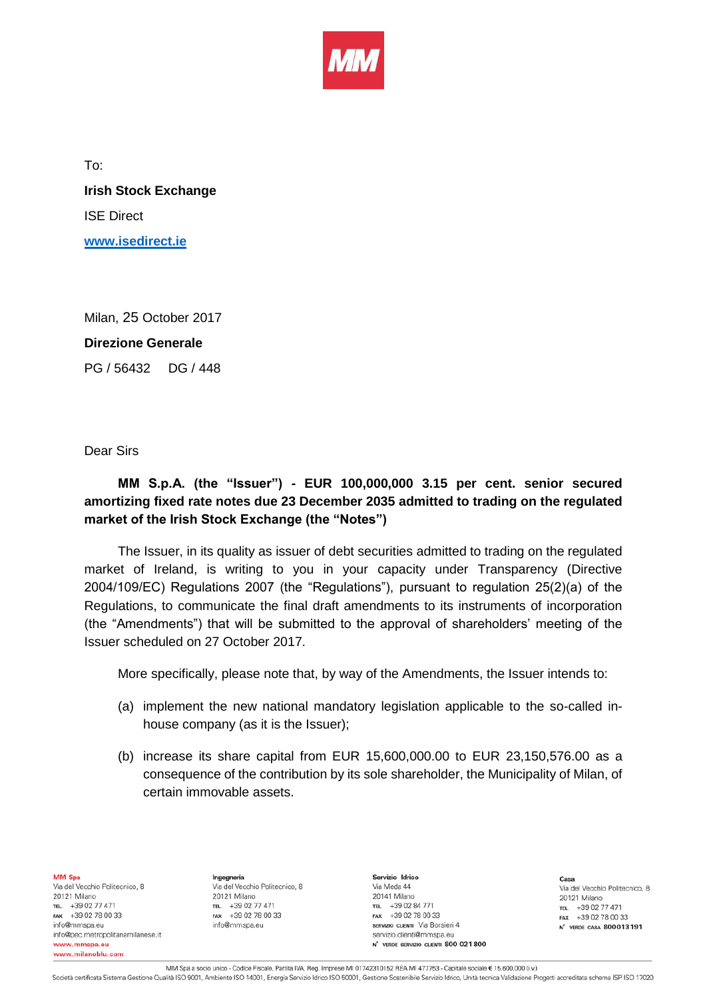

To:

**Irish Stock Exchange** ISE Direct **[www.isedirect.ie](http://www.isedirect.ie/)**

Milan, 25 October 2017

## **Direzione Generale**

PG / 56432 DG / 448

## Dear Sirs

## **MM S.p.A. (the "Issuer") - EUR 100,000,000 3.15 per cent. senior secured amortizing fixed rate notes due 23 December 2035 admitted to trading on the regulated market of the Irish Stock Exchange (the "Notes")**

The Issuer, in its quality as issuer of debt securities admitted to trading on the regulated market of Ireland, is writing to you in your capacity under Transparency (Directive 2004/109/EC) Regulations 2007 (the "Regulations"), pursuant to regulation 25(2)(a) of the Regulations, to communicate the final draft amendments to its instruments of incorporation (the "Amendments") that will be submitted to the approval of shareholders' meeting of the Issuer scheduled on 27 October 2017.

More specifically, please note that, by way of the Amendments, the Issuer intends to:

- (a) implement the new national mandatory legislation applicable to the so-called inhouse company (as it is the Issuer);
- (b) increase its share capital from EUR 15,600,000.00 to EUR 23,150,576.00 as a consequence of the contribution by its sole shareholder, the Municipality of Milan, of certain immovable assets.

MM Spa Via del Vecchio Politecnico, 8 20121 Milano TEL +39 02 77 471 +39 02 78 00 33 FAX info@mmspa.eu info@pec.metropolitanamilanese.it www.mmspa.eu www.milanoblu.com

Ingegneria Via del Vecchio Politecnico, 8 20121 Milano TEL. +39 02 77 471 FAX +39 02 78 00 33 info@mmspa.eu

Servizio Idrico Via Meda 44 20141 Milano TEL +39 02 84 771 FAX +39 02 78 00 33 SERVIZIO CLIENTI Via Borsieri 4 servizio.clienti@mmspa.eu N<sup>\*</sup> VERDE SERVIZIO CLIENTI 800 021 800

Casa Via del Vecchio Politecnico, 8 20121 Milano TEL. +39 02 77 471 FAX +39 02 78 00 33 N<sup>\*</sup> VERDE CASA 800013191

MM Spa a socio unico - Codice Fiscale, Partita IVA, Reg. Imprese MI 01742310152 REA MI 477753 - Capitale sociale € 15.600.000 (i.v.)

Società certificata Sistema Gestione Qualità ISO 9001, Ambiente ISO 14001, Energia Servizio Idrico ISO 50001, Gestione Sostenibile Servizio Idrico, Unità tecnica Validazione Progetti accreditata schema ISP ISO 17020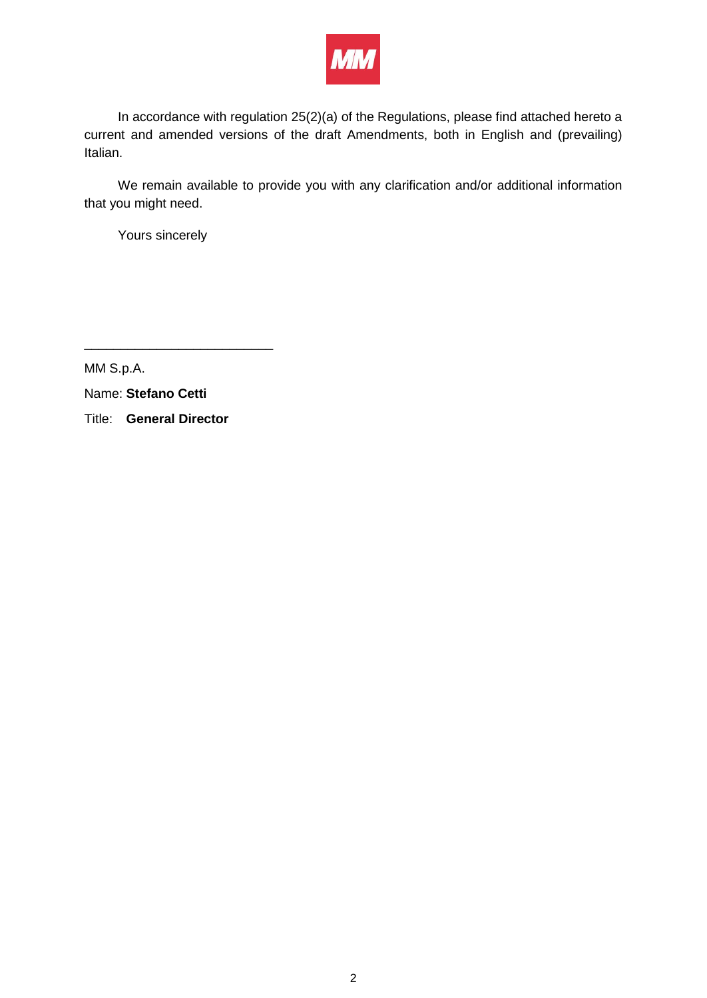

In accordance with regulation 25(2)(a) of the Regulations, please find attached hereto a current and amended versions of the draft Amendments, both in English and (prevailing) Italian.

We remain available to provide you with any clarification and/or additional information that you might need.

Yours sincerely

MM S.p.A.

Name: **Stefano Cetti**

Title: **General Director** 

\_\_\_\_\_\_\_\_\_\_\_\_\_\_\_\_\_\_\_\_\_\_\_\_\_\_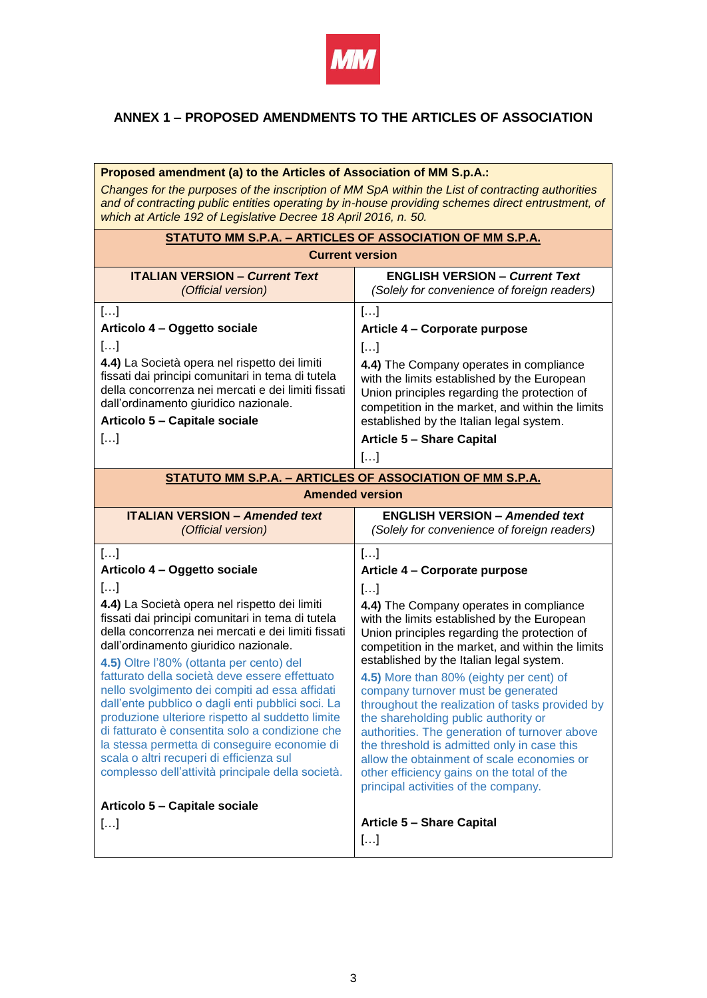

## **ANNEX 1 – PROPOSED AMENDMENTS TO THE ARTICLES OF ASSOCIATION**

| Proposed amendment (a) to the Articles of Association of MM S.p.A.:                                                                                                                                                                                                                                                                                                                                                                                                                                                                                           |                                                                                                                                                                                                                                                                                                                                                                                                                                                                                                                    |
|---------------------------------------------------------------------------------------------------------------------------------------------------------------------------------------------------------------------------------------------------------------------------------------------------------------------------------------------------------------------------------------------------------------------------------------------------------------------------------------------------------------------------------------------------------------|--------------------------------------------------------------------------------------------------------------------------------------------------------------------------------------------------------------------------------------------------------------------------------------------------------------------------------------------------------------------------------------------------------------------------------------------------------------------------------------------------------------------|
| Changes for the purposes of the inscription of MM SpA within the List of contracting authorities<br>and of contracting public entities operating by in-house providing schemes direct entrustment, of<br>which at Article 192 of Legislative Decree 18 April 2016, n. 50.                                                                                                                                                                                                                                                                                     |                                                                                                                                                                                                                                                                                                                                                                                                                                                                                                                    |
| STATUTO MM S.P.A. - ARTICLES OF ASSOCIATION OF MM S.P.A.                                                                                                                                                                                                                                                                                                                                                                                                                                                                                                      |                                                                                                                                                                                                                                                                                                                                                                                                                                                                                                                    |
| <b>Current version</b>                                                                                                                                                                                                                                                                                                                                                                                                                                                                                                                                        |                                                                                                                                                                                                                                                                                                                                                                                                                                                                                                                    |
| <b>ITALIAN VERSION - Current Text</b><br>(Official version)                                                                                                                                                                                                                                                                                                                                                                                                                                                                                                   | <b>ENGLISH VERSION - Current Text</b><br>(Solely for convenience of foreign readers)                                                                                                                                                                                                                                                                                                                                                                                                                               |
| []                                                                                                                                                                                                                                                                                                                                                                                                                                                                                                                                                            | []                                                                                                                                                                                                                                                                                                                                                                                                                                                                                                                 |
| Articolo 4 - Oggetto sociale                                                                                                                                                                                                                                                                                                                                                                                                                                                                                                                                  | Article 4 - Corporate purpose                                                                                                                                                                                                                                                                                                                                                                                                                                                                                      |
| []                                                                                                                                                                                                                                                                                                                                                                                                                                                                                                                                                            | []                                                                                                                                                                                                                                                                                                                                                                                                                                                                                                                 |
| 4.4) La Società opera nel rispetto dei limiti<br>fissati dai principi comunitari in tema di tutela<br>della concorrenza nei mercati e dei limiti fissati<br>dall'ordinamento giuridico nazionale.<br>Articolo 5 - Capitale sociale                                                                                                                                                                                                                                                                                                                            | 4.4) The Company operates in compliance<br>with the limits established by the European<br>Union principles regarding the protection of<br>competition in the market, and within the limits<br>established by the Italian legal system.                                                                                                                                                                                                                                                                             |
| $[]$                                                                                                                                                                                                                                                                                                                                                                                                                                                                                                                                                          | <b>Article 5 - Share Capital</b>                                                                                                                                                                                                                                                                                                                                                                                                                                                                                   |
|                                                                                                                                                                                                                                                                                                                                                                                                                                                                                                                                                               | $[]$                                                                                                                                                                                                                                                                                                                                                                                                                                                                                                               |
| STATUTO MM S.P.A. - ARTICLES OF ASSOCIATION OF MM S.P.A.                                                                                                                                                                                                                                                                                                                                                                                                                                                                                                      |                                                                                                                                                                                                                                                                                                                                                                                                                                                                                                                    |
| <b>Amended version</b>                                                                                                                                                                                                                                                                                                                                                                                                                                                                                                                                        |                                                                                                                                                                                                                                                                                                                                                                                                                                                                                                                    |
|                                                                                                                                                                                                                                                                                                                                                                                                                                                                                                                                                               |                                                                                                                                                                                                                                                                                                                                                                                                                                                                                                                    |
| <b>ITALIAN VERSION - Amended text</b><br>(Official version)                                                                                                                                                                                                                                                                                                                                                                                                                                                                                                   | <b>ENGLISH VERSION - Amended text</b><br>(Solely for convenience of foreign readers)                                                                                                                                                                                                                                                                                                                                                                                                                               |
| []                                                                                                                                                                                                                                                                                                                                                                                                                                                                                                                                                            | []                                                                                                                                                                                                                                                                                                                                                                                                                                                                                                                 |
| Articolo 4 - Oggetto sociale                                                                                                                                                                                                                                                                                                                                                                                                                                                                                                                                  | Article 4 - Corporate purpose                                                                                                                                                                                                                                                                                                                                                                                                                                                                                      |
| []                                                                                                                                                                                                                                                                                                                                                                                                                                                                                                                                                            | []                                                                                                                                                                                                                                                                                                                                                                                                                                                                                                                 |
| 4.4) La Società opera nel rispetto dei limiti<br>fissati dai principi comunitari in tema di tutela<br>della concorrenza nei mercati e dei limiti fissati<br>dall'ordinamento giuridico nazionale.<br>4.5) Oltre l'80% (ottanta per cento) del<br>fatturato della società deve essere effettuato<br>nello svolgimento dei compiti ad essa affidati<br>dall'ente pubblico o dagli enti pubblici soci. La<br>produzione ulteriore rispetto al suddetto limite<br>di fatturato è consentita solo a condizione che<br>la stessa permetta di conseguire economie di | 4.4) The Company operates in compliance<br>with the limits established by the European<br>Union principles regarding the protection of<br>competition in the market, and within the limits<br>established by the Italian legal system.<br>4.5) More than 80% (eighty per cent) of<br>company turnover must be generated<br>throughout the realization of tasks provided by<br>the shareholding public authority or<br>authorities. The generation of turnover above<br>the threshold is admitted only in case this |
| scala o altri recuperi di efficienza sul<br>complesso dell'attività principale della società.                                                                                                                                                                                                                                                                                                                                                                                                                                                                 | allow the obtainment of scale economies or<br>other efficiency gains on the total of the<br>principal activities of the company.                                                                                                                                                                                                                                                                                                                                                                                   |
| Articolo 5 - Capitale sociale                                                                                                                                                                                                                                                                                                                                                                                                                                                                                                                                 | <b>Article 5 - Share Capital</b>                                                                                                                                                                                                                                                                                                                                                                                                                                                                                   |